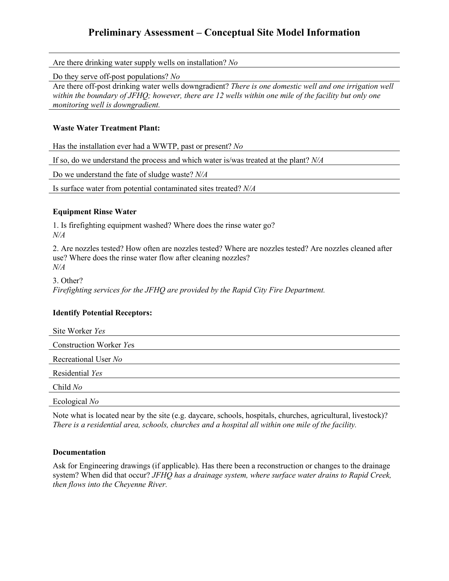# **Preliminary Assessment – Conceptual Site Model Information**

Are there drinking water supply wells on installation? *No*

Do they serve off-post populations? *No*

Are there off-post drinking water wells downgradient? *There is one domestic well and one irrigation well within the boundary of JFHQ; however, there are 12 wells within one mile of the facility but only one monitoring well is downgradient.*

#### **Waste Water Treatment Plant:**

Has the installation ever had a WWTP, past or present? *No*

If so, do we understand the process and which water is/was treated at the plant? *N/A*

Do we understand the fate of sludge waste? *N/A*

Is surface water from potential contaminated sites treated? *N/A*

## **Equipment Rinse Water**

1. Is firefighting equipment washed? Where does the rinse water go? *N/A*

2. Are nozzles tested? How often are nozzles tested? Where are nozzles tested? Are nozzles cleaned after use? Where does the rinse water flow after cleaning nozzles? *N/A*

3. Other? *Firefighting services for the JFHQ are provided by the Rapid City Fire Department.*

# **Identify Potential Receptors:**

| Site Worker Yes                |  |
|--------------------------------|--|
| <b>Construction Worker Yes</b> |  |
| Recreational User No           |  |
| Residential Yes                |  |
| Child No                       |  |
| Ecological No                  |  |

Note what is located near by the site (e.g. daycare, schools, hospitals, churches, agricultural, livestock)? *There is a residential area, schools, churches and a hospital all within one mile of the facility.*

### **Documentation**

Ask for Engineering drawings (if applicable). Has there been a reconstruction or changes to the drainage system? When did that occur? *JFHQ has a drainage system, where surface water drains to Rapid Creek, then flows into the Cheyenne River.*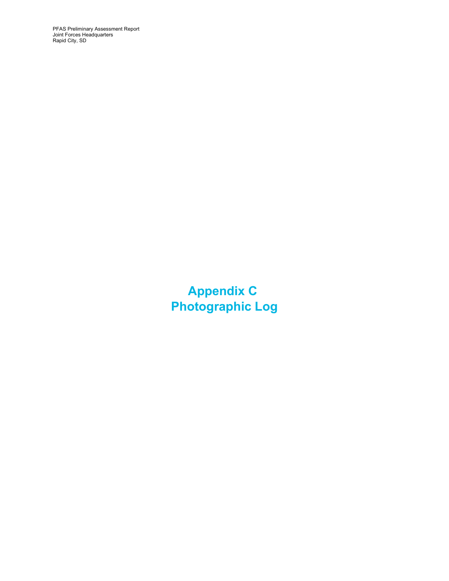PFAS Preliminary Assessment Report Joint Forces Headquarters Rapid City, SD

> **Appendix C Photographic Log**